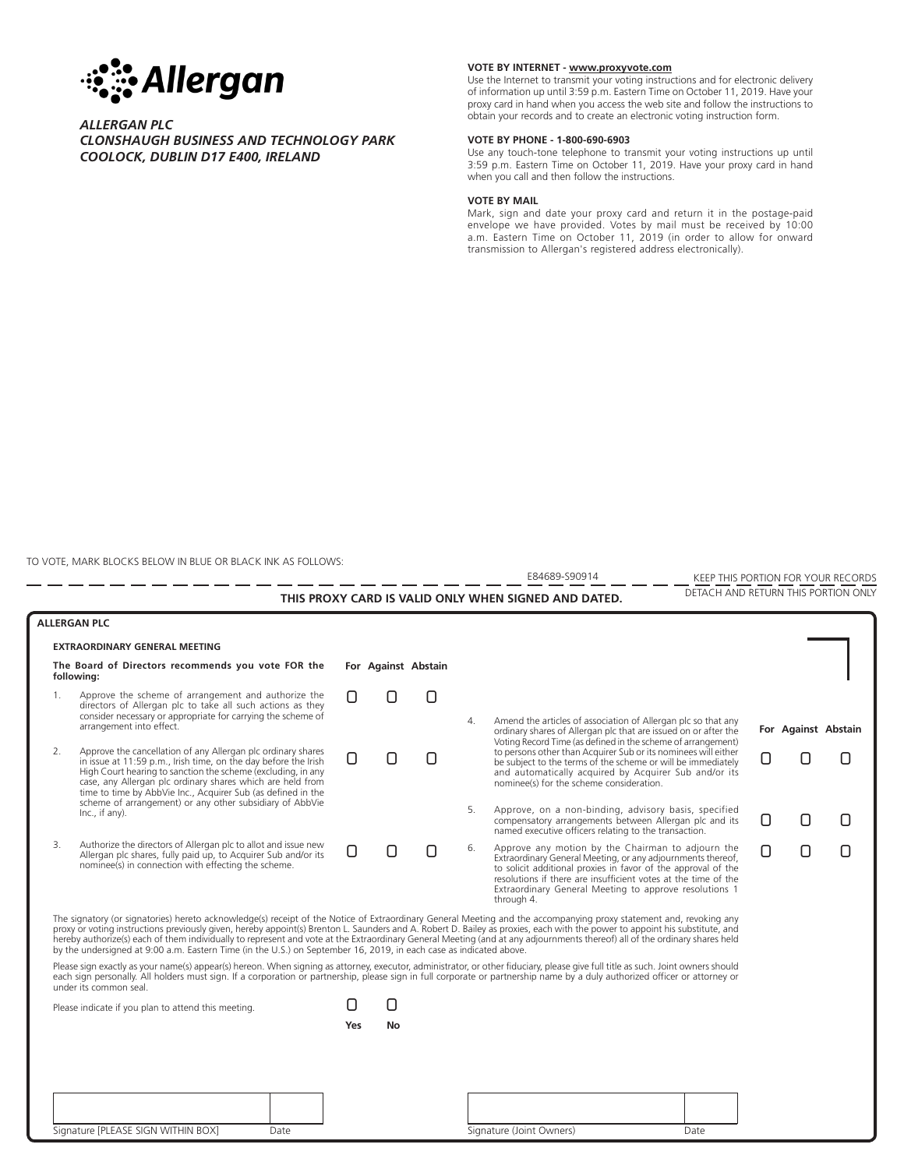

## *ALLERGAN PLC CLONSHAUGH BUSINESS AND TECHNOLOGY PARK COOLOCK, DUBLIN D17 E400, IRELAND*

## **VOTE BY INTERNET - www.proxyvote.com**

Use the Internet to transmit your voting instructions and for electronic delivery of information up until 3:59 p.m. Eastern Time on October 11, 2019. Have your proxy card in hand when you access the web site and follow the instructions to obtain your records and to create an electronic voting instruction form.

#### **VOTE BY PHONE - 1-800-690-6903**

Use any touch-tone telephone to transmit your voting instructions up until 3:59 p.m. Eastern Time on October 11, 2019. Have your proxy card in hand when you call and then follow the instructions.

#### **VOTE BY MAIL**

Mark, sign and date your proxy card and return it in the postage-paid envelope we have provided. Votes by mail must be received by 10:00 a.m. Eastern Time on October 11, 2019 (in order to allow for onward transmission to Allergan's registered address electronically).

TO VOTE, MARK BLOCKS BELOW IN BLUE OR BLACK INK AS FOLLOWS:

--------

E84689-S90914

KEEP THIS PORTION FOR YOUR RECORDS DETACH AND RETURN THIS PORTION ONLY **THIS PROXY CARD IS VALID ONLY WHEN SIGNED AND DATED.**

| <b>ALLERGAN PLC</b>                                                                                                                                                                                                                                                                                                                                                                                                                                                                                                                                                                                                                                   |                                                                                                                                                                                                                                                                                                                                                                                                             |     |                     |  |                       |                                                                                                                                                                                                                                                                                                                             |  |                     |  |
|-------------------------------------------------------------------------------------------------------------------------------------------------------------------------------------------------------------------------------------------------------------------------------------------------------------------------------------------------------------------------------------------------------------------------------------------------------------------------------------------------------------------------------------------------------------------------------------------------------------------------------------------------------|-------------------------------------------------------------------------------------------------------------------------------------------------------------------------------------------------------------------------------------------------------------------------------------------------------------------------------------------------------------------------------------------------------------|-----|---------------------|--|-----------------------|-----------------------------------------------------------------------------------------------------------------------------------------------------------------------------------------------------------------------------------------------------------------------------------------------------------------------------|--|---------------------|--|
| EXTRAORDINARY GENERAL MEETING                                                                                                                                                                                                                                                                                                                                                                                                                                                                                                                                                                                                                         |                                                                                                                                                                                                                                                                                                                                                                                                             |     |                     |  |                       |                                                                                                                                                                                                                                                                                                                             |  |                     |  |
| The Board of Directors recommends you vote FOR the<br>following:                                                                                                                                                                                                                                                                                                                                                                                                                                                                                                                                                                                      |                                                                                                                                                                                                                                                                                                                                                                                                             |     | For Against Abstain |  |                       |                                                                                                                                                                                                                                                                                                                             |  |                     |  |
| 1.                                                                                                                                                                                                                                                                                                                                                                                                                                                                                                                                                                                                                                                    | Approve the scheme of arrangement and authorize the<br>directors of Allergan plc to take all such actions as they<br>consider necessary or appropriate for carrying the scheme of<br>arrangement into effect.                                                                                                                                                                                               |     |                     |  | $\mathcal{A}_{\cdot}$ | Amend the articles of association of Allergan plc so that any<br>ordinary shares of Allergan plc that are issued on or after the<br>Voting Record Time (as defined in the scheme of arrangement)                                                                                                                            |  | For Against Abstain |  |
| 2.                                                                                                                                                                                                                                                                                                                                                                                                                                                                                                                                                                                                                                                    | Approve the cancellation of any Allergan plc ordinary shares<br>in issue at 11:59 p.m., Irish time, on the day before the Irish<br>High Court hearing to sanction the scheme (excluding, in any<br>case, any Allergan plc ordinary shares which are held from<br>time to time by AbbVie Inc., Acquirer Sub (as defined in the<br>scheme of arrangement) or any other subsidiary of AbbVie<br>Inc., if any). |     |                     |  |                       | to persons other than Acquirer Sub or its nominees will either<br>be subject to the terms of the scheme or will be immediately<br>and automatically acquired by Acquirer Sub and/or its<br>nominee(s) for the scheme consideration.                                                                                         |  |                     |  |
|                                                                                                                                                                                                                                                                                                                                                                                                                                                                                                                                                                                                                                                       |                                                                                                                                                                                                                                                                                                                                                                                                             |     |                     |  | 5.                    | Approve, on a non-binding, advisory basis, specified<br>compensatory arrangements between Allergan plc and its<br>named executive officers relating to the transaction.                                                                                                                                                     |  |                     |  |
| 3.                                                                                                                                                                                                                                                                                                                                                                                                                                                                                                                                                                                                                                                    | Authorize the directors of Allergan plc to allot and issue new<br>Allergan plc shares, fully paid up, to Acquirer Sub and/or its<br>nominee(s) in connection with effecting the scheme.                                                                                                                                                                                                                     |     |                     |  | 6.                    | Approve any motion by the Chairman to adjourn the<br>Extraordinary General Meeting, or any adjournments thereof,<br>to solicit additional proxies in favor of the approval of the<br>resolutions if there are insufficient votes at the time of the<br>Extraordinary General Meeting to approve resolutions 1<br>through 4. |  |                     |  |
| The signatory (or signatories) hereto acknowledge(s) receipt of the Notice of Extraordinary General Meeting and the accompanying proxy statement and, revoking any<br>proxy or voting instructions previously given, hereby appoint(s) Brenton L. Saunders and A. Robert D. Bailey as proxies, each with the power to appoint his substitute, and<br>hereby authorize(s) each of them individually to represent and vote at the Extraordinary General Meeting (and at any adjournments thereof) all of the ordinary shares held<br>by the undersigned at 9:00 a.m. Eastern Time (in the U.S.) on September 16, 2019, in each case as indicated above. |                                                                                                                                                                                                                                                                                                                                                                                                             |     |                     |  |                       |                                                                                                                                                                                                                                                                                                                             |  |                     |  |
| Please sign exactly as your name(s) appear(s) hereon. When signing as attorney, executor, administrator, or other fiduciary, please give full title as such. Joint owners should<br>each sign personally. All holders must sign. If a corporation or partnership, please sign in full corporate or partnership name by a duly authorized officer or attorney or<br>under its common seal.                                                                                                                                                                                                                                                             |                                                                                                                                                                                                                                                                                                                                                                                                             |     |                     |  |                       |                                                                                                                                                                                                                                                                                                                             |  |                     |  |
| Please indicate if you plan to attend this meeting.                                                                                                                                                                                                                                                                                                                                                                                                                                                                                                                                                                                                   |                                                                                                                                                                                                                                                                                                                                                                                                             |     |                     |  |                       |                                                                                                                                                                                                                                                                                                                             |  |                     |  |
|                                                                                                                                                                                                                                                                                                                                                                                                                                                                                                                                                                                                                                                       |                                                                                                                                                                                                                                                                                                                                                                                                             | Yes | No                  |  |                       |                                                                                                                                                                                                                                                                                                                             |  |                     |  |
|                                                                                                                                                                                                                                                                                                                                                                                                                                                                                                                                                                                                                                                       |                                                                                                                                                                                                                                                                                                                                                                                                             |     |                     |  |                       |                                                                                                                                                                                                                                                                                                                             |  |                     |  |
|                                                                                                                                                                                                                                                                                                                                                                                                                                                                                                                                                                                                                                                       |                                                                                                                                                                                                                                                                                                                                                                                                             |     |                     |  |                       |                                                                                                                                                                                                                                                                                                                             |  |                     |  |
|                                                                                                                                                                                                                                                                                                                                                                                                                                                                                                                                                                                                                                                       |                                                                                                                                                                                                                                                                                                                                                                                                             |     |                     |  |                       |                                                                                                                                                                                                                                                                                                                             |  |                     |  |
|                                                                                                                                                                                                                                                                                                                                                                                                                                                                                                                                                                                                                                                       | Signature [PLEASE SIGN WITHIN BOX]<br>Date                                                                                                                                                                                                                                                                                                                                                                  |     |                     |  |                       | Signature (Joint Owners)<br>Date                                                                                                                                                                                                                                                                                            |  |                     |  |